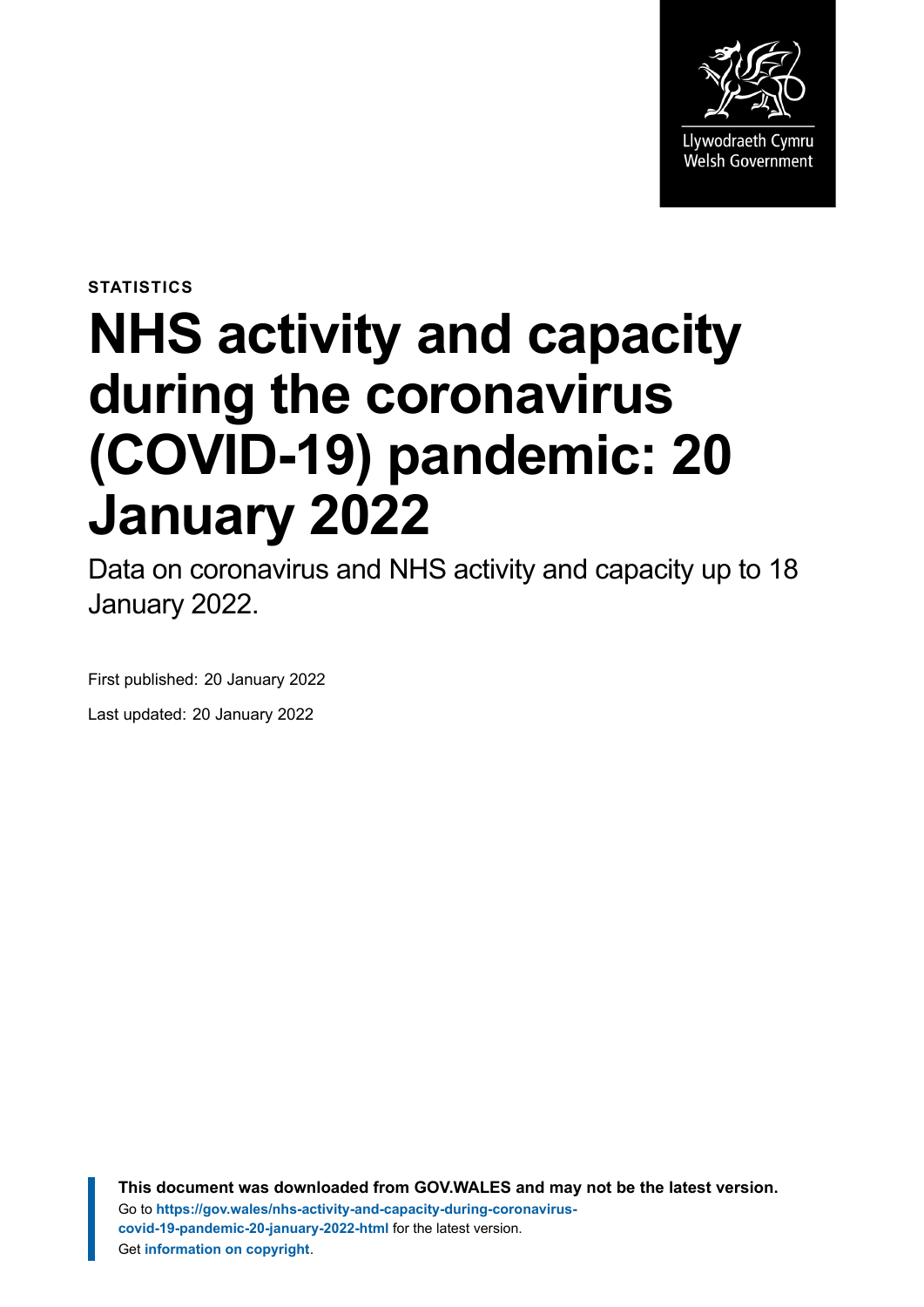

**STATISTICS**

# **NHS activity and capacity during the coronavirus (COVID-19) pandemic: 20 January 2022**

Data on coronavirus and NHS activity and capacity up to 18 January 2022.

First published: 20 January 2022 Last updated: 20 January 2022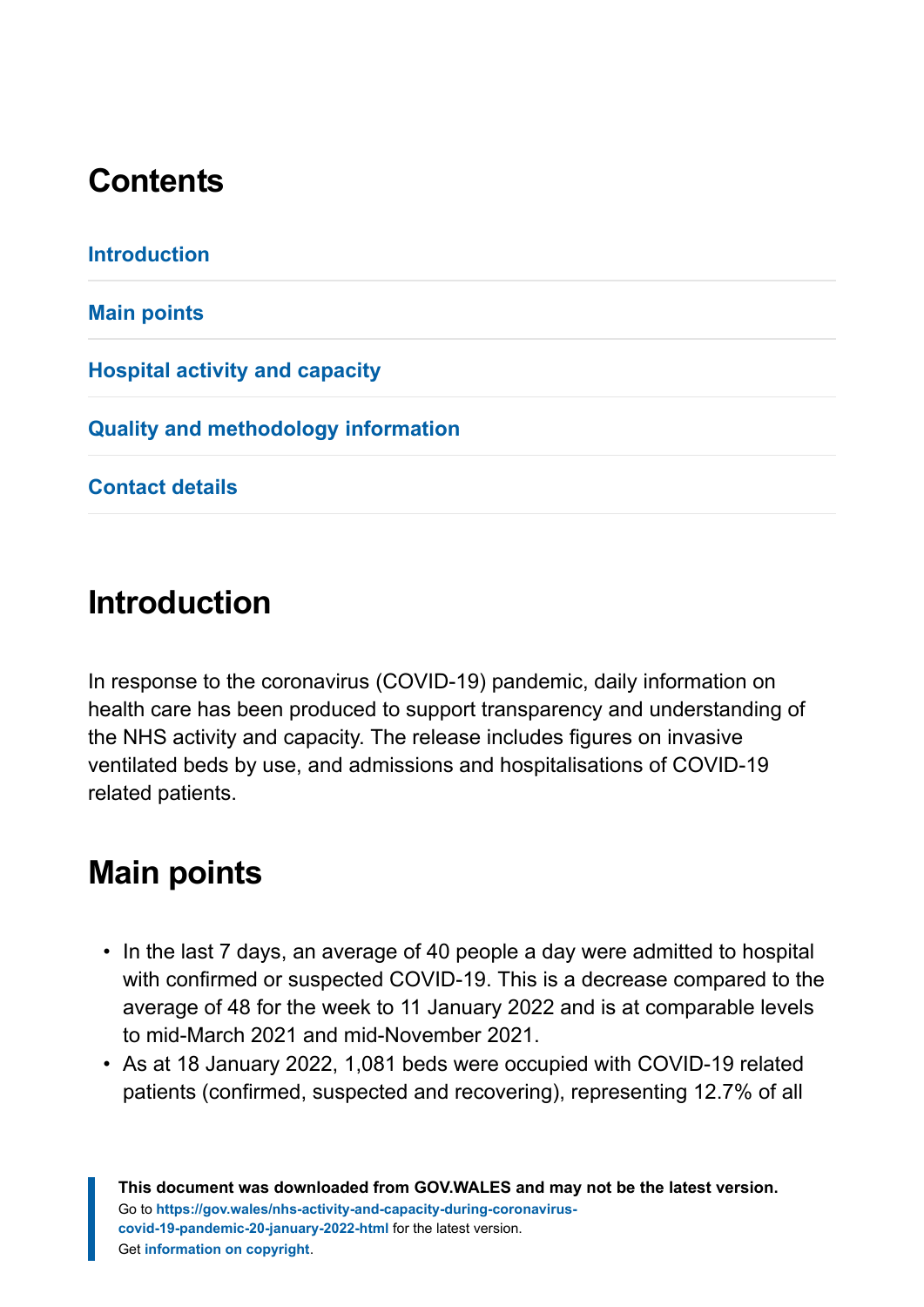# **Contents**

# <span id="page-1-0"></span>**Introduction**

In response to the coronavirus (COVID-19) pandemic, daily information on health care has been produced to support transparency and understanding of the NHS activity and capacity. The release includes figures on invasive ventilated beds by use, and admissions and hospitalisations of COVID-19 related patients.

# <span id="page-1-1"></span>**Main points**

- In the last 7 days, an average of 40 people a day were admitted to hospital with confirmed or suspected COVID-19. This is a decrease compared to the average of 48 for the week to 11 January 2022 and is at comparable levels to mid-March 2021 and mid-November 2021.
- As at 18 January 2022, 1,081 beds were occupied with COVID-19 related patients (confirmed, suspected and recovering), representing 12.7% of all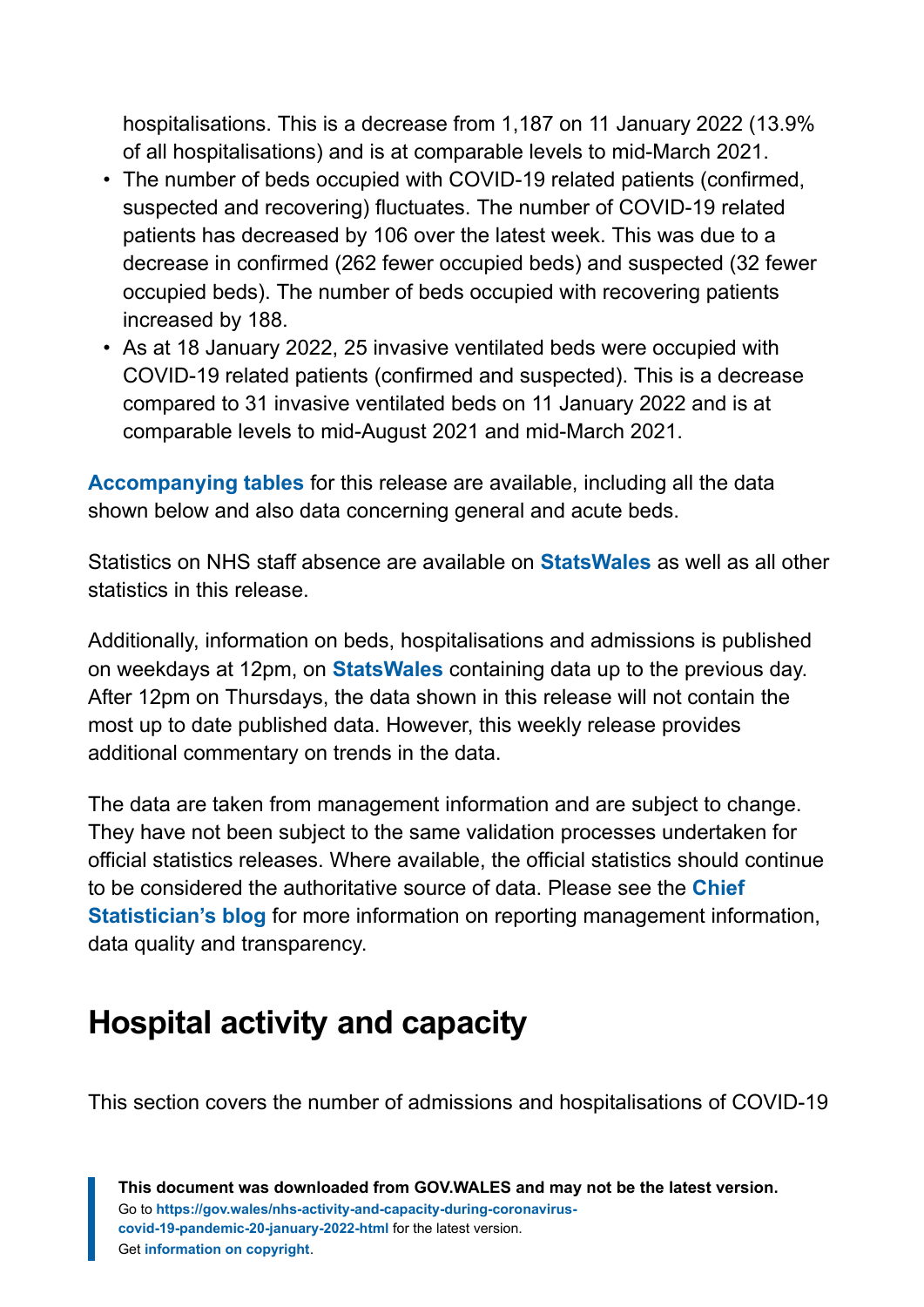hospitalisations. This is a decrease from 1,187 on 11 January 2022 (13.9% of all hospitalisations) and is at comparable levels to mid-March 2021.

- The number of beds occupied with COVID-19 related patients (confirmed, suspected and recovering) fluctuates. The number of COVID-19 related patients has decreased by 106 over the latest week. This was due to a decrease in confirmed (262 fewer occupied beds) and suspected (32 fewer occupied beds). The number of beds occupied with recovering patients increased by 188.
- As at 18 January 2022, 25 invasive ventilated beds were occupied with COVID-19 related patients (confirmed and suspected). This is a decrease compared to 31 invasive ventilated beds on 11 January 2022 and is at comparable levels to mid-August 2021 and mid-March 2021.

**[Accompanying tables](https://gov.wales/nhs-activity-and-capacity-during-coronavirus-covid-19-pandemic-20-january-2022)** for this release are available, including all the data shown below and also data concerning general and acute beds.

Statistics on NHS staff absence are available on **[StatsWales](https://statswales.gov.wales/Catalogue/Health-and-Social-Care/NHS-Hospital-Activity/nhs-activity-and-capacity-during-the-coronavirus-pandemic)** as well as all other statistics in this release.

Additionally, information on beds, hospitalisations and admissions is published on weekdays at 12pm, on **[StatsWales](https://statswales.gov.wales/Catalogue/Health-and-Social-Care/NHS-Hospital-Activity/nhs-activity-and-capacity-during-the-coronavirus-pandemic)** containing data up to the previous day. After 12pm on Thursdays, the data shown in this release will not contain the most up to date published data. However, this weekly release provides additional commentary on trends in the data.

The data are taken from management information and are subject to change. They have not been subject to the same validation processes undertaken for official statistics releases. Where available, the official statistics should continue to be considered the authoritative source of data. Please see the **[Chief](https://digitalanddata.blog.gov.wales/2020/06/04/chief-statisticians-update-measuring-people-in-hospital-and-some-thoughts-on-data-quality/) [Statistician's blog](https://digitalanddata.blog.gov.wales/2020/06/04/chief-statisticians-update-measuring-people-in-hospital-and-some-thoughts-on-data-quality/)** for more information on reporting management information, data quality and transparency.

# <span id="page-2-0"></span>**Hospital activity and capacity**

This section covers the number of admissions and hospitalisations of COVID-19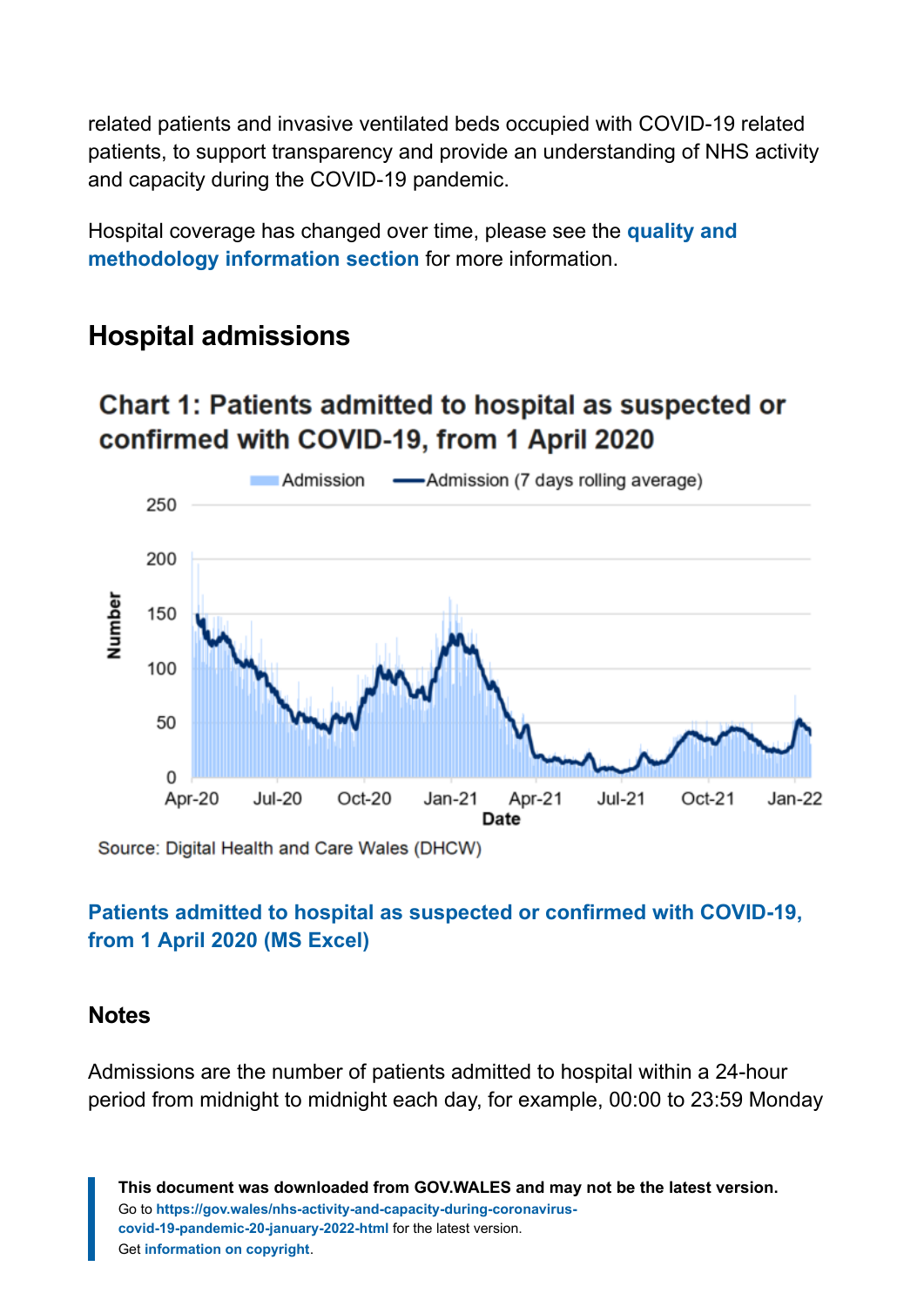related patients and invasive ventilated beds occupied with COVID-19 related patients, to support transparency and provide an understanding of NHS activity and capacity during the COVID-19 pandemic.

Hospital coverage has changed over time, please see the **[quality and](#page-9-0) [methodology information section](#page-9-0)** for more information.

## **Hospital admissions**

# Chart 1: Patients admitted to hospital as suspected or confirmed with COVID-19, from 1 April 2020



Source: Digital Health and Care Wales (DHCW)

#### **[Patients admitted to hospital as suspected or confirmed with COVID-19,](https://gov.wales/sites/default/files/statistics-and-research/2022-01/nhs-activity-and-capacity-during-the-coronavirus-covid-19-pandemic-20-January-2022-023.ods) [from 1 April 2020 \(MS Excel\)](https://gov.wales/sites/default/files/statistics-and-research/2022-01/nhs-activity-and-capacity-during-the-coronavirus-covid-19-pandemic-20-January-2022-023.ods)**

#### **Notes**

Admissions are the number of patients admitted to hospital within a 24-hour period from midnight to midnight each day, for example, 00:00 to 23:59 Monday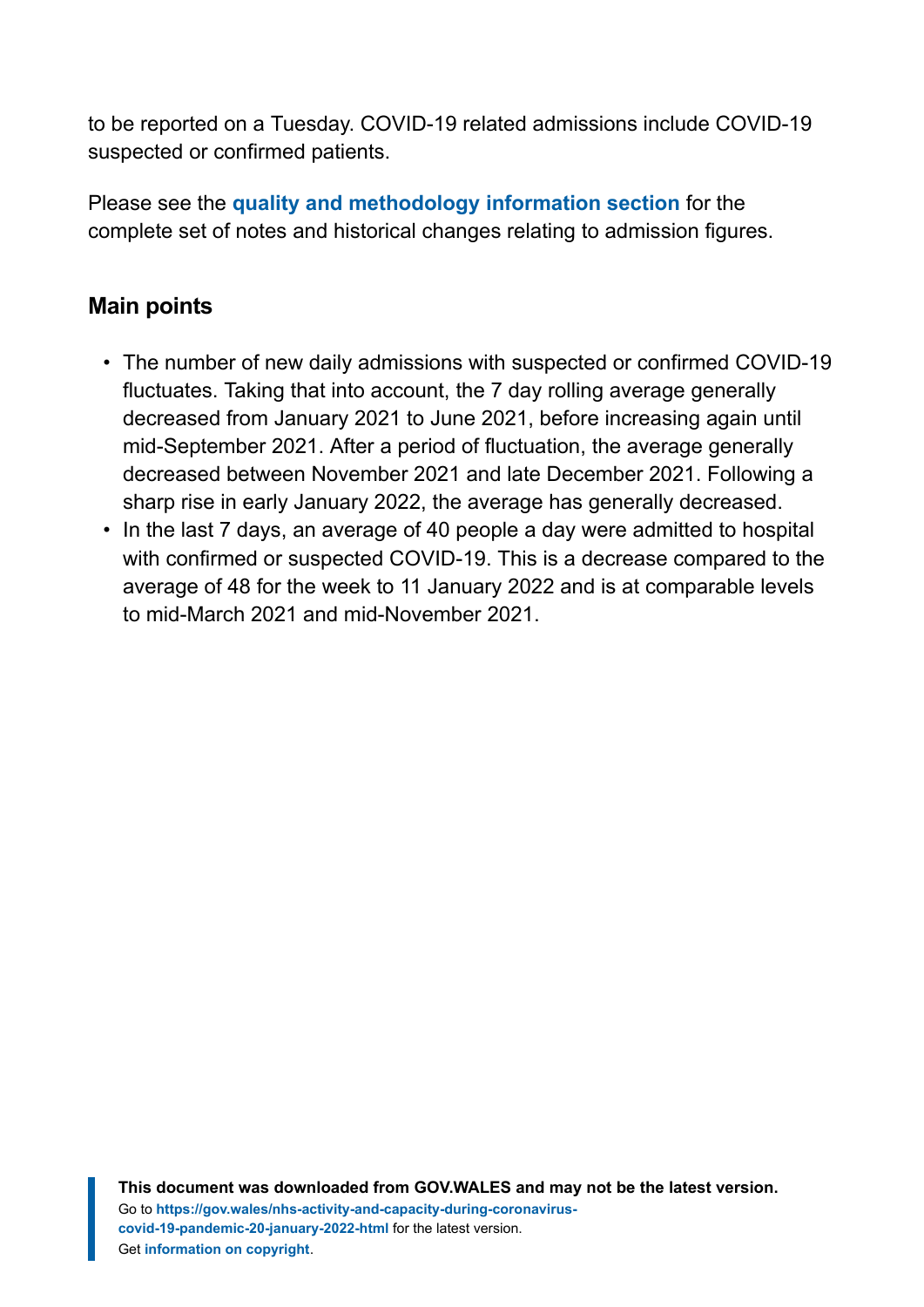to be reported on a Tuesday. COVID-19 related admissions include COVID-19 suspected or confirmed patients.

Please see the **[quality and methodology information section](#page-9-0)** for the complete set of notes and historical changes relating to admission figures.

### **Main points**

- The number of new daily admissions with suspected or confirmed COVID-19 fluctuates. Taking that into account, the 7 day rolling average generally decreased from January 2021 to June 2021, before increasing again until mid-September 2021. After a period of fluctuation, the average generally decreased between November 2021 and late December 2021. Following a sharp rise in early January 2022, the average has generally decreased.
- In the last 7 days, an average of 40 people a day were admitted to hospital with confirmed or suspected COVID-19. This is a decrease compared to the average of 48 for the week to 11 January 2022 and is at comparable levels to mid-March 2021 and mid-November 2021.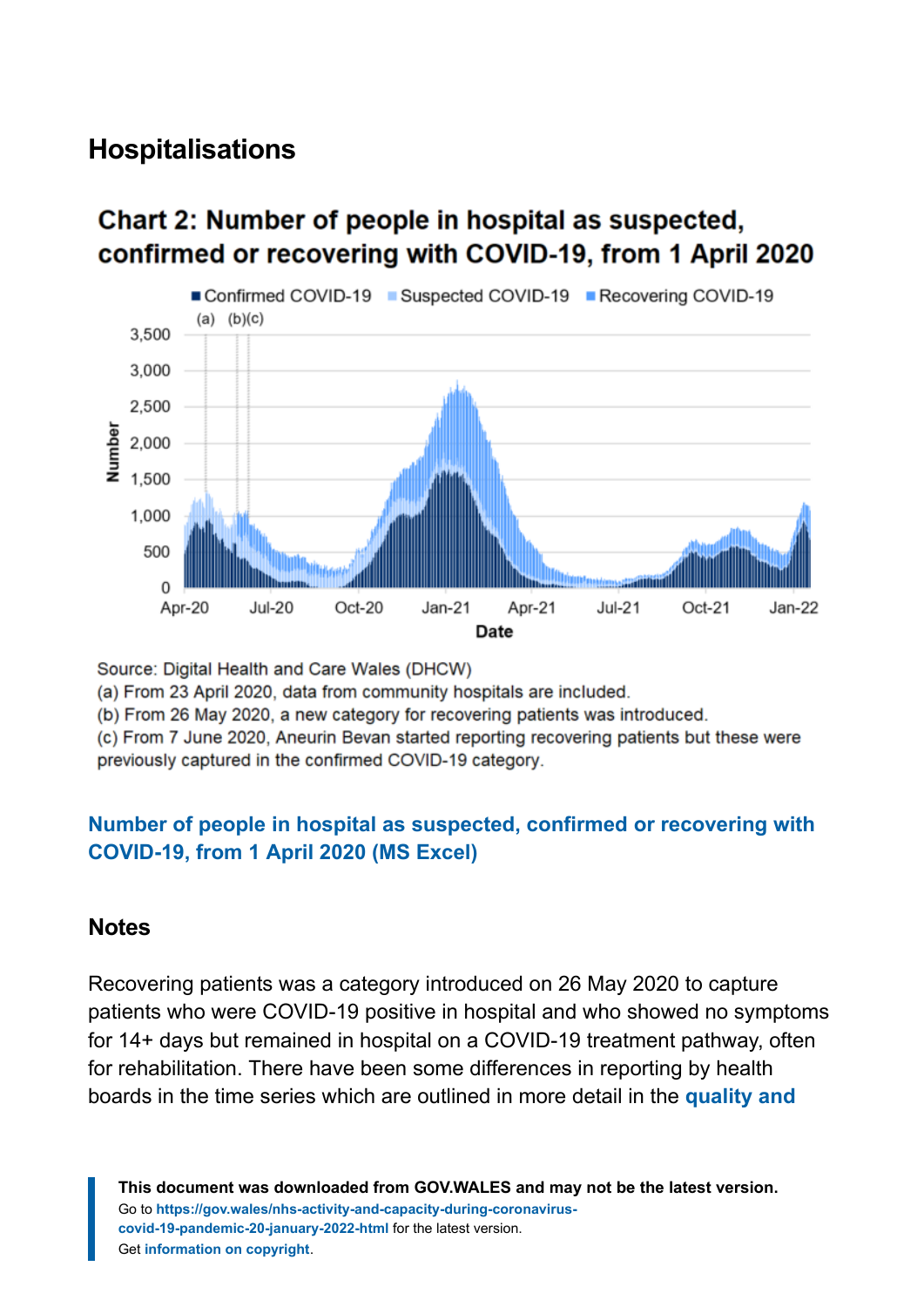# **Hospitalisations**

#### ■ Confirmed COVID-19 ■ Suspected COVID-19 ■ Recovering COVID-19  $(a)$   $(b)(c)$ 3.500 3.000 2.500  $\frac{1}{2}$  2,000<br> $\frac{1}{2}$  1,500 1.000 500  $\Omega$  $Oct-20$ Apr-20  $Jul-20$  $Jan-21$  $Jul-21$  $Oct-21$  $Jan-22$ Apr-21 Date

# Chart 2: Number of people in hospital as suspected, confirmed or recovering with COVID-19, from 1 April 2020

Source: Digital Health and Care Wales (DHCW)

(a) From 23 April 2020, data from community hospitals are included.

(b) From 26 May 2020, a new category for recovering patients was introduced.

(c) From 7 June 2020, Aneurin Bevan started reporting recovering patients but these were previously captured in the confirmed COVID-19 category.

#### **[Number of people in hospital as suspected, confirmed or recovering with](https://gov.wales/sites/default/files/statistics-and-research/2022-01/nhs-activity-and-capacity-during-the-coronavirus-covid-19-pandemic-20-January-2022-023.ods) [COVID-19, from 1 April 2020 \(MS Excel\)](https://gov.wales/sites/default/files/statistics-and-research/2022-01/nhs-activity-and-capacity-during-the-coronavirus-covid-19-pandemic-20-January-2022-023.ods)**

#### **Notes**

Recovering patients was a category introduced on 26 May 2020 to capture patients who were COVID-19 positive in hospital and who showed no symptoms for 14+ days but remained in hospital on a COVID-19 treatment pathway, often for rehabilitation. There have been some differences in reporting by health boards in the time series which are outlined in more detail in the **[quality and](#page-9-0)**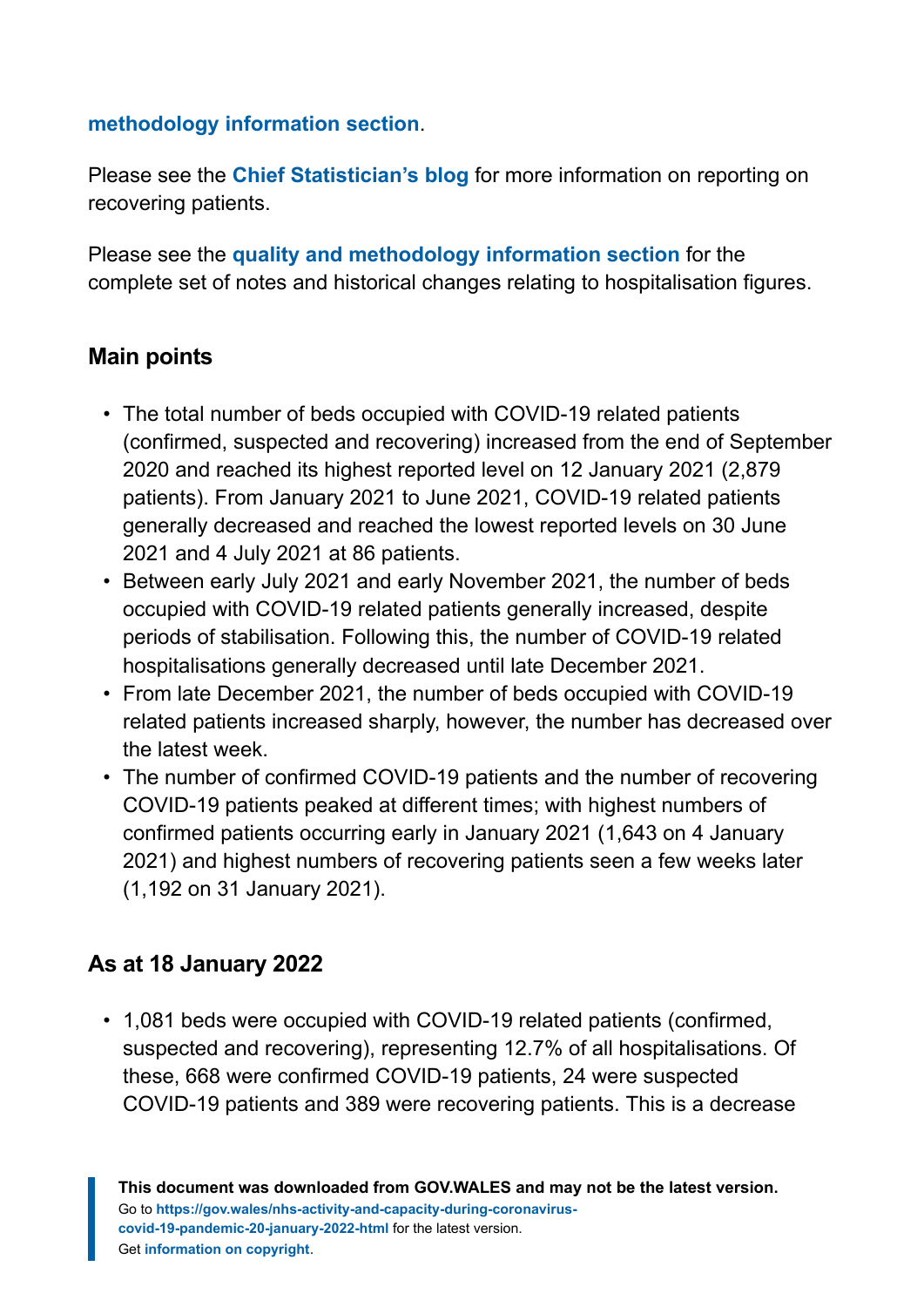#### **[methodology information section](#page-9-0)**.

Please see the **[Chief Statistician's blog](https://digitalanddata.blog.gov.wales/2020/06/04/chief-statisticians-update-measuring-people-in-hospital-and-some-thoughts-on-data-quality/)** for more information on reporting on recovering patients.

Please see the **[quality and methodology information section](#page-9-0)** for the complete set of notes and historical changes relating to hospitalisation figures.

#### **Main points**

- The total number of beds occupied with COVID-19 related patients (confirmed, suspected and recovering) increased from the end of September 2020 and reached its highest reported level on 12 January 2021 (2,879 patients). From January 2021 to June 2021, COVID-19 related patients generally decreased and reached the lowest reported levels on 30 June 2021 and 4 July 2021 at 86 patients.
- Between early July 2021 and early November 2021, the number of beds occupied with COVID-19 related patients generally increased, despite periods of stabilisation. Following this, the number of COVID-19 related hospitalisations generally decreased until late December 2021.
- From late December 2021, the number of beds occupied with COVID-19 related patients increased sharply, however, the number has decreased over the latest week.
- The number of confirmed COVID-19 patients and the number of recovering COVID-19 patients peaked at different times; with highest numbers of confirmed patients occurring early in January 2021 (1,643 on 4 January 2021) and highest numbers of recovering patients seen a few weeks later (1,192 on 31 January 2021).

#### **As at 18 January 2022**

• 1,081 beds were occupied with COVID-19 related patients (confirmed, suspected and recovering), representing 12.7% of all hospitalisations. Of these, 668 were confirmed COVID-19 patients, 24 were suspected COVID-19 patients and 389 were recovering patients. This is a decrease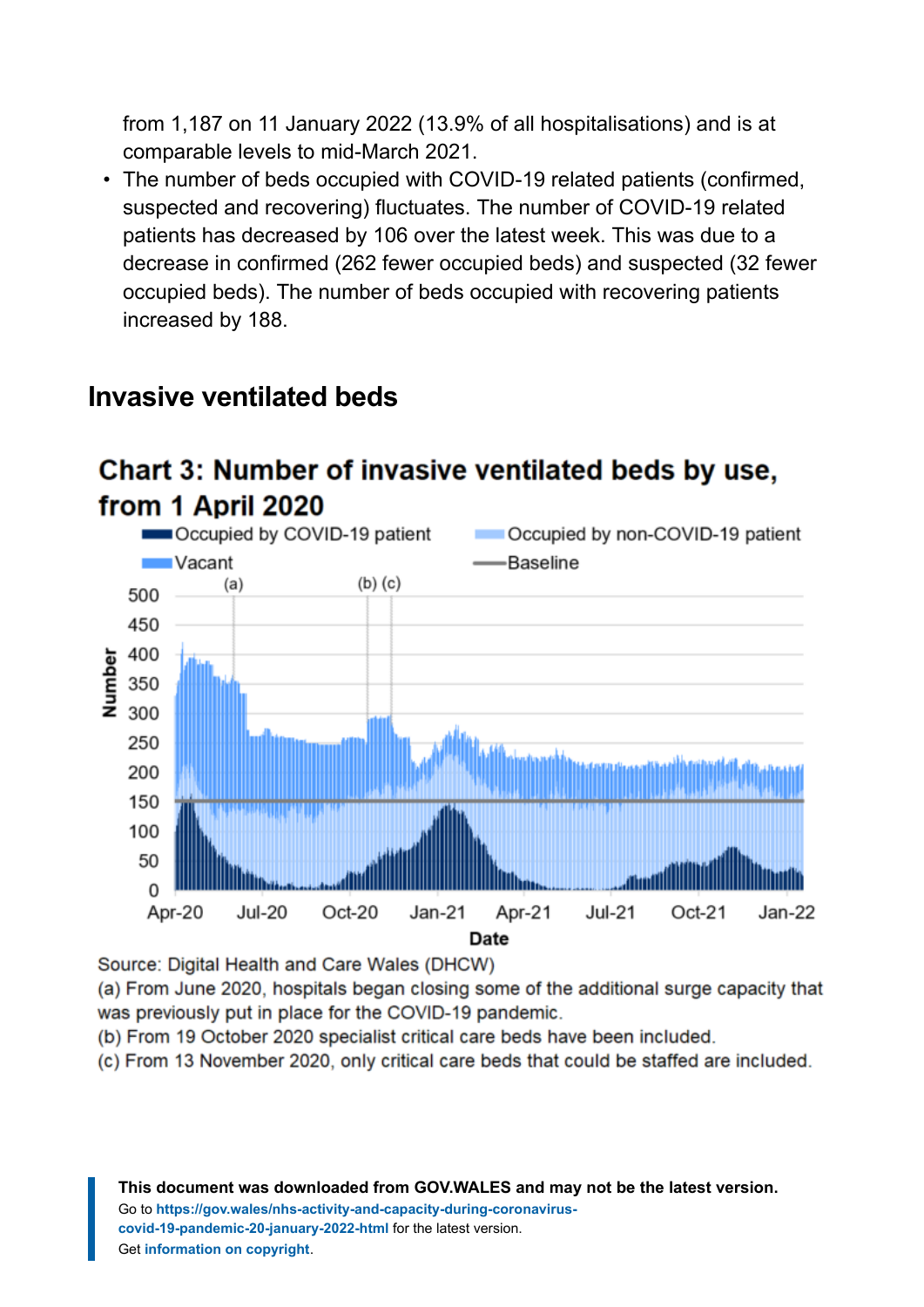from 1,187 on 11 January 2022 (13.9% of all hospitalisations) and is at comparable levels to mid-March 2021.

• The number of beds occupied with COVID-19 related patients (confirmed, suspected and recovering) fluctuates. The number of COVID-19 related patients has decreased by 106 over the latest week. This was due to a decrease in confirmed (262 fewer occupied beds) and suspected (32 fewer occupied beds). The number of beds occupied with recovering patients increased by 188.



# **Invasive ventilated beds**

# Chart 3: Number of invasive ventilated beds by use,

Source: Digital Health and Care Wales (DHCW)

(a) From June 2020, hospitals began closing some of the additional surge capacity that was previously put in place for the COVID-19 pandemic.

(b) From 19 October 2020 specialist critical care beds have been included.

(c) From 13 November 2020, only critical care beds that could be staffed are included.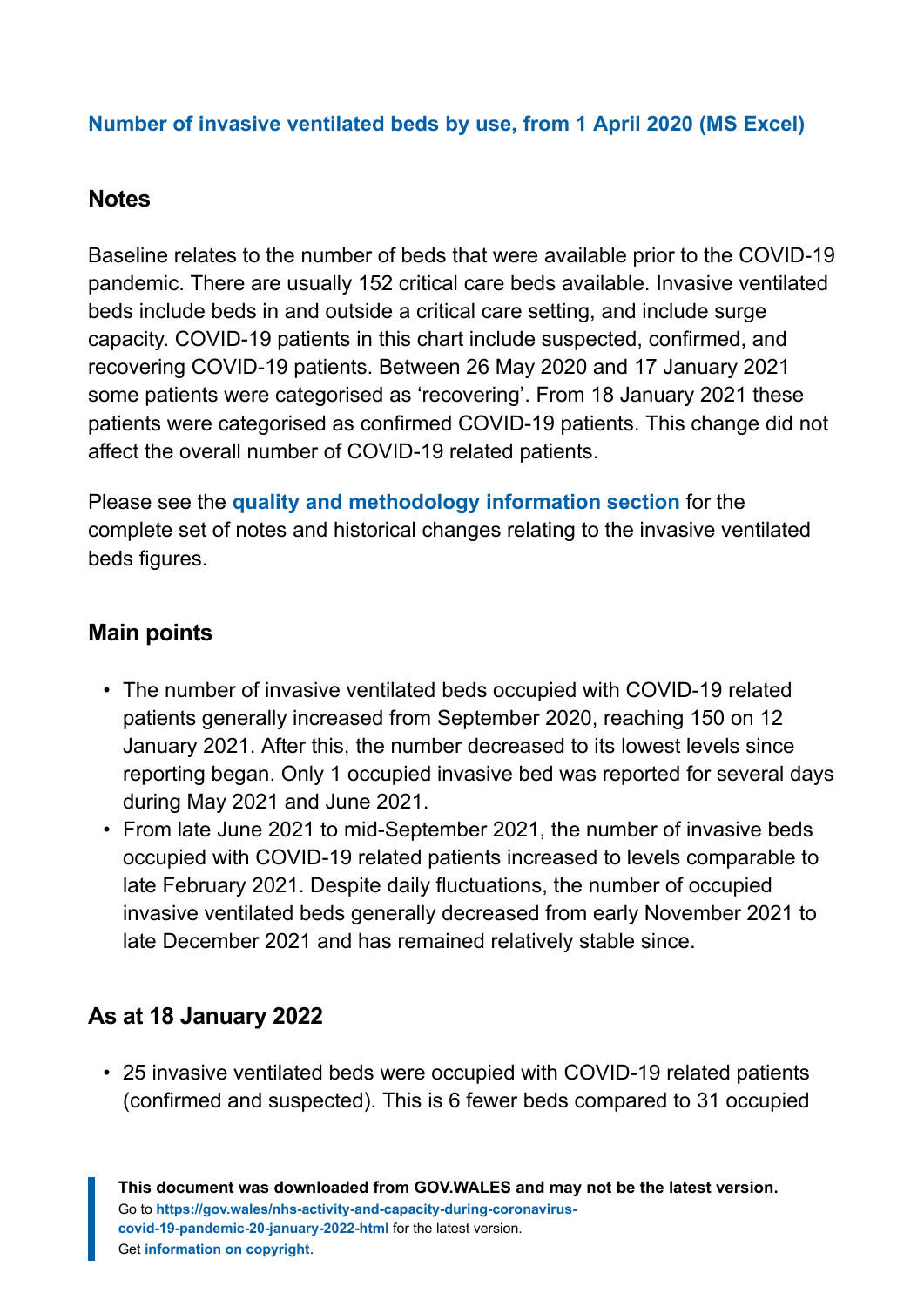#### **[Number of invasive ventilated beds by use, from 1 April 2020](https://gov.wales/sites/default/files/statistics-and-research/2022-01/nhs-activity-and-capacity-during-the-coronavirus-covid-19-pandemic-20-January-2022-023.ods) (MS Excel)**

#### **Notes**

Baseline relates to the number of beds that were available prior to the COVID-19 pandemic. There are usually 152 critical care beds available. Invasive ventilated beds include beds in and outside a critical care setting, and include surge capacity. COVID-19 patients in this chart include suspected, confirmed, and recovering COVID-19 patients. Between 26 May 2020 and 17 January 2021 some patients were categorised as 'recovering'. From 18 January 2021 these patients were categorised as confirmed COVID-19 patients. This change did not affect the overall number of COVID-19 related patients.

Please see the **[quality and methodology information section](#page-9-0)** for the complete set of notes and historical changes relating to the invasive ventilated beds figures.

#### **Main points**

- The number of invasive ventilated beds occupied with COVID-19 related patients generally increased from September 2020, reaching 150 on 12 January 2021. After this, the number decreased to its lowest levels since reporting began. Only 1 occupied invasive bed was reported for several days during May 2021 and June 2021.
- From late June 2021 to mid-September 2021, the number of invasive beds occupied with COVID-19 related patients increased to levels comparable to late February 2021. Despite daily fluctuations, the number of occupied invasive ventilated beds generally decreased from early November 2021 to late December 2021 and has remained relatively stable since.

### **As at 18 January 2022**

• 25 invasive ventilated beds were occupied with COVID-19 related patients (confirmed and suspected). This is 6 fewer beds compared to 31 occupied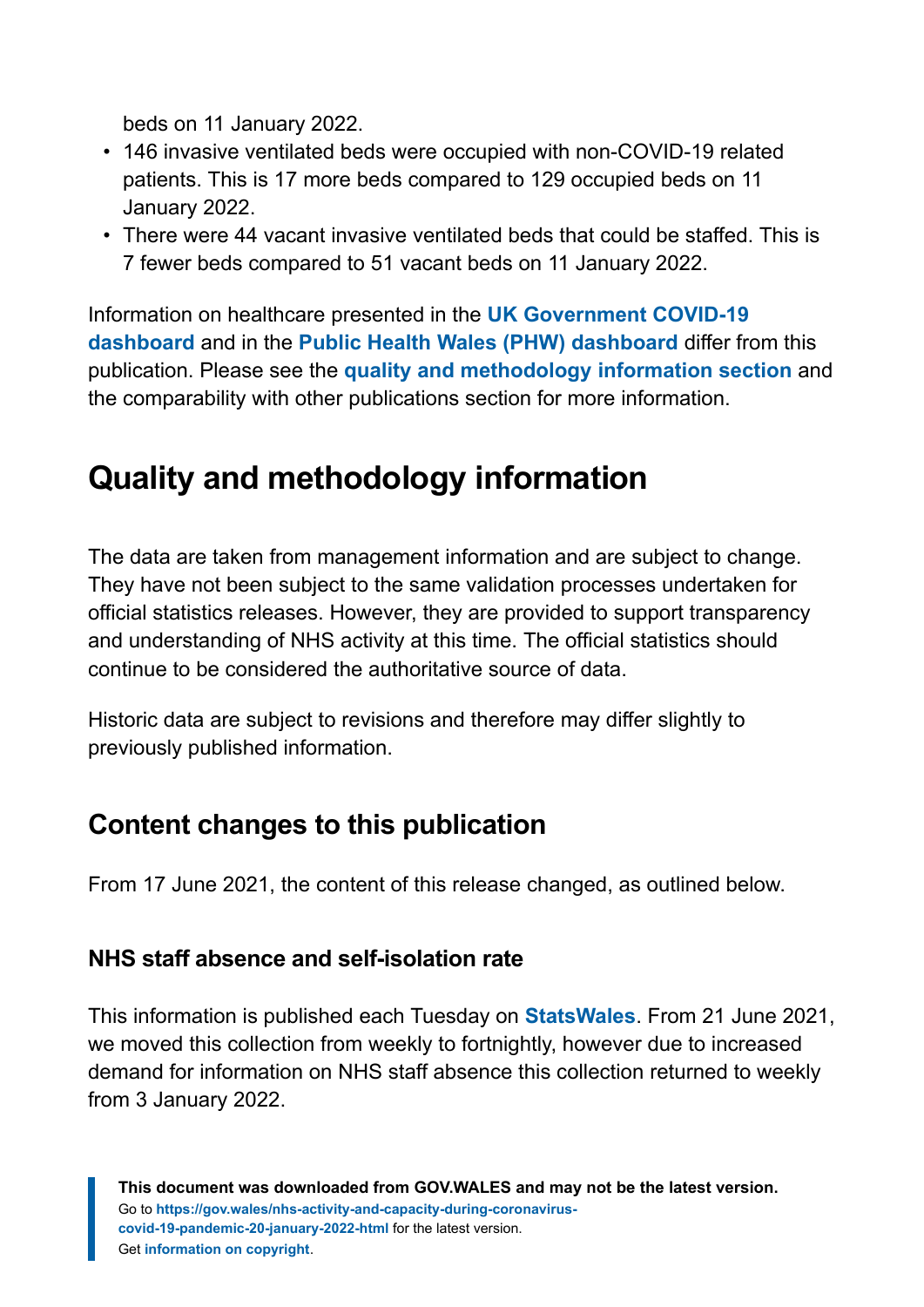beds on 11 January 2022.

- 146 invasive ventilated beds were occupied with non-COVID-19 related patients. This is 17 more beds compared to 129 occupied beds on 11 January 2022.
- There were 44 vacant invasive ventilated beds that could be staffed. This is 7 fewer beds compared to 51 vacant beds on 11 January 2022.

Information on healthcare presented in the **[UK Government COVID-19](https://coronavirus.data.gov.uk/) [dashboard](https://coronavirus.data.gov.uk/)** and in the **[Public Health Wales \(PHW\) dashboard](https://public.tableau.com/profile/public.health.wales.health.protection#!/vizhome/RapidCOVID-19virology-Public/Headlinesummary)** differ from this publication. Please see the **[quality and methodology information section](#page-9-0)** and the comparability with other publications section for more information.

# <span id="page-9-0"></span>**Quality and methodology information**

The data are taken from management information and are subject to change. They have not been subject to the same validation processes undertaken for official statistics releases. However, they are provided to support transparency and understanding of NHS activity at this time. The official statistics should continue to be considered the authoritative source of data.

Historic data are subject to revisions and therefore may differ slightly to previously published information.

# **Content changes to this publication**

From 17 June 2021, the content of this release changed, as outlined below.

#### **NHS staff absence and self-isolation rate**

This information is published each Tuesday on **[StatsWales](https://statswales.gov.wales/Catalogue/Health-and-Social-Care/NHS-Hospital-Activity/nhs-activity-and-capacity-during-the-coronavirus-pandemic)**. From 21 June 2021, we moved this collection from weekly to fortnightly, however due to increased demand for information on NHS staff absence this collection returned to weekly from 3 January 2022.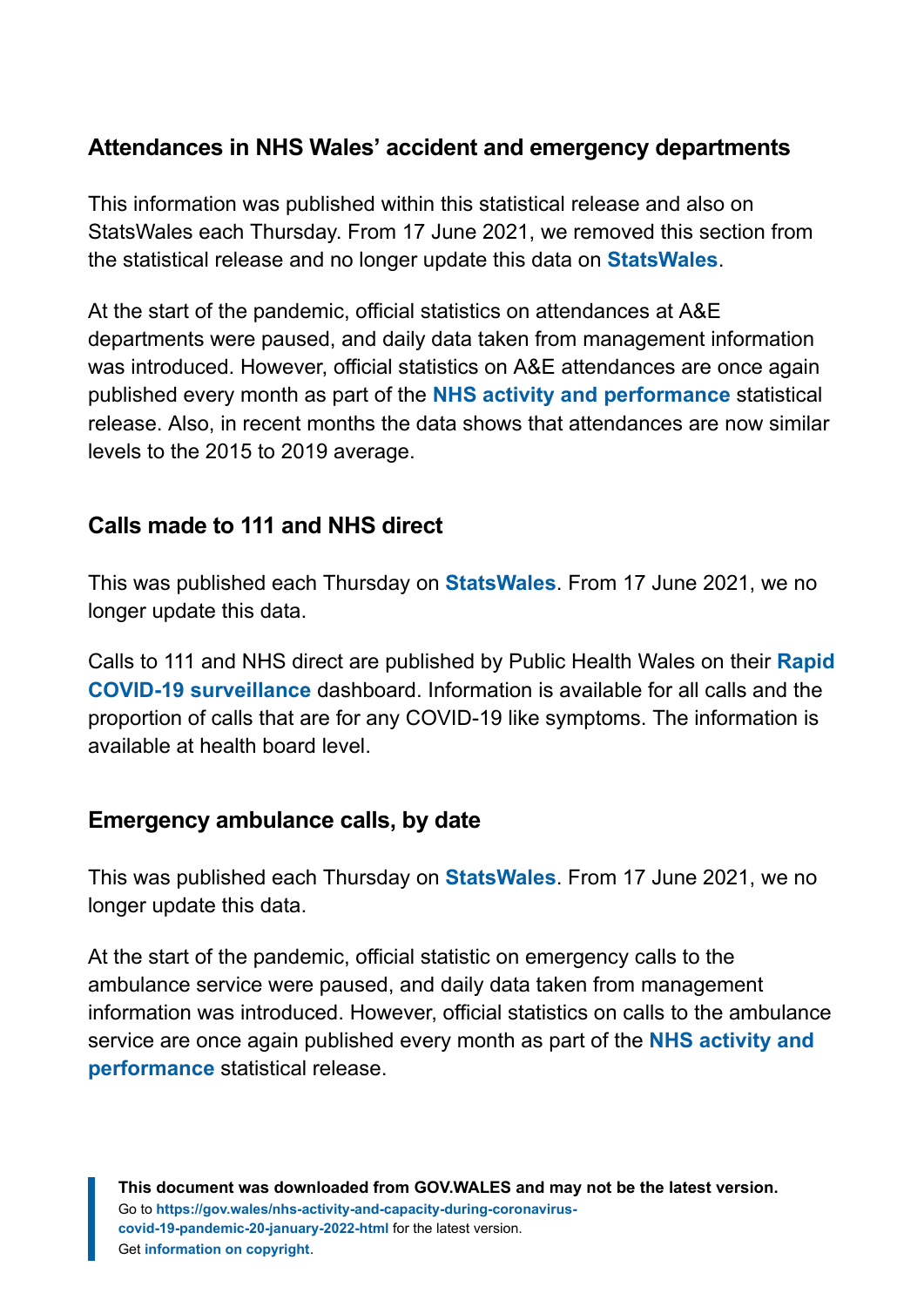#### **Attendances in NHS Wales' accident and emergency departments**

This information was published within this statistical release and also on StatsWales each Thursday. From 17 June 2021, we removed this section from the statistical release and no longer update this data on **[StatsWales](https://statswales.gov.wales/Catalogue/Health-and-Social-Care/NHS-Hospital-Activity/nhs-activity-and-capacity-during-the-coronavirus-pandemic/accidentandemergencydepartmentsattendances-by-date-localhealthboard)**.

At the start of the pandemic, official statistics on attendances at A&E departments were paused, and daily data taken from management information was introduced. However, official statistics on A&E attendances are once again published every month as part of the **[NHS activity and performance](https://gov.wales/nhs-activity-and-performance-summary)** statistical release. Also, in recent months the data shows that attendances are now similar levels to the 2015 to 2019 average.

#### **Calls made to 111 and NHS direct**

This was published each Thursday on **[StatsWales](https://statswales.gov.wales/Catalogue/Health-and-Social-Care/NHS-Hospital-Activity/nhs-activity-and-capacity-during-the-coronavirus-pandemic/numberof111andnhsdirectcalls-by-date)**. From 17 June 2021, we no longer update this data.

Calls to 111 and NHS direct are published by Public Health Wales on their **[Rapid](https://public.tableau.com/profile/public.health.wales.health.protection#!/vizhome/RapidCOVID-19virology-Public/Headlinesummary) [COVID-19 surveillance](https://public.tableau.com/profile/public.health.wales.health.protection#!/vizhome/RapidCOVID-19virology-Public/Headlinesummary)** dashboard. Information is available for all calls and the proportion of calls that are for any COVID-19 like symptoms. The information is available at health board level.

#### **Emergency ambulance calls, by date**

This was published each Thursday on **[StatsWales](https://statswales.gov.wales/Catalogue/Health-and-Social-Care/NHS-Hospital-Activity/nhs-activity-and-capacity-during-the-coronavirus-pandemic/emergencyambulancecalls-by-date)**. From 17 June 2021, we no longer update this data.

At the start of the pandemic, official statistic on emergency calls to the ambulance service were paused, and daily data taken from management information was introduced. However, official statistics on calls to the ambulance service are once again published every month as part of the **[NHS activity and](https://gov.wales/nhs-activity-and-performance-summary) [performance](https://gov.wales/nhs-activity-and-performance-summary)** statistical release.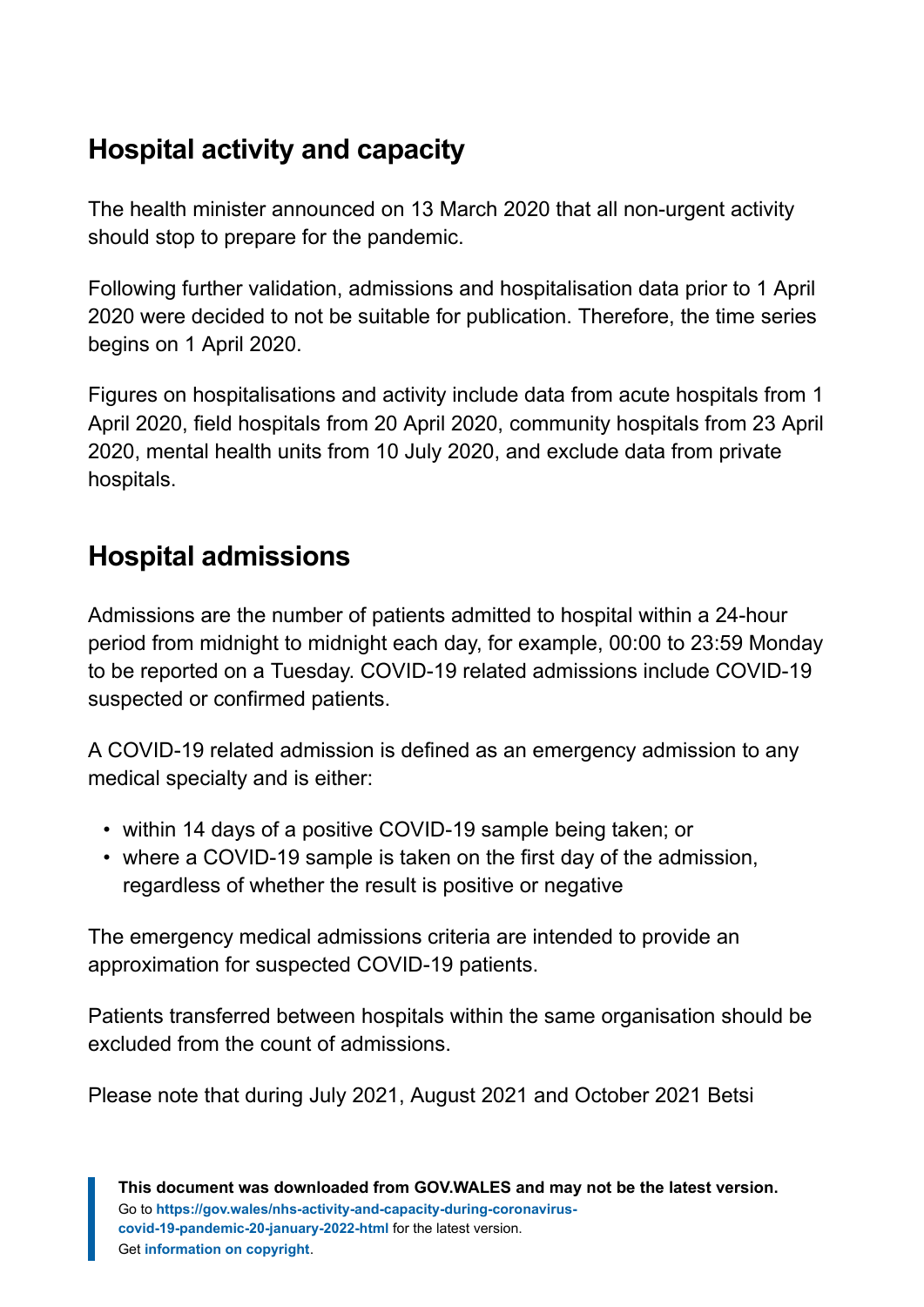# **Hospital activity and capacity**

The health minister announced on 13 March 2020 that all non-urgent activity should stop to prepare for the pandemic.

Following further validation, admissions and hospitalisation data prior to 1 April 2020 were decided to not be suitable for publication. Therefore, the time series begins on 1 April 2020.

Figures on hospitalisations and activity include data from acute hospitals from 1 April 2020, field hospitals from 20 April 2020, community hospitals from 23 April 2020, mental health units from 10 July 2020, and exclude data from private hospitals.

# **Hospital admissions**

Admissions are the number of patients admitted to hospital within a 24-hour period from midnight to midnight each day, for example, 00:00 to 23:59 Monday to be reported on a Tuesday. COVID-19 related admissions include COVID-19 suspected or confirmed patients.

A COVID-19 related admission is defined as an emergency admission to any medical specialty and is either:

- within 14 days of a positive COVID-19 sample being taken; or
- where a COVID-19 sample is taken on the first day of the admission, regardless of whether the result is positive or negative

The emergency medical admissions criteria are intended to provide an approximation for suspected COVID-19 patients.

Patients transferred between hospitals within the same organisation should be excluded from the count of admissions.

Please note that during July 2021, August 2021 and October 2021 Betsi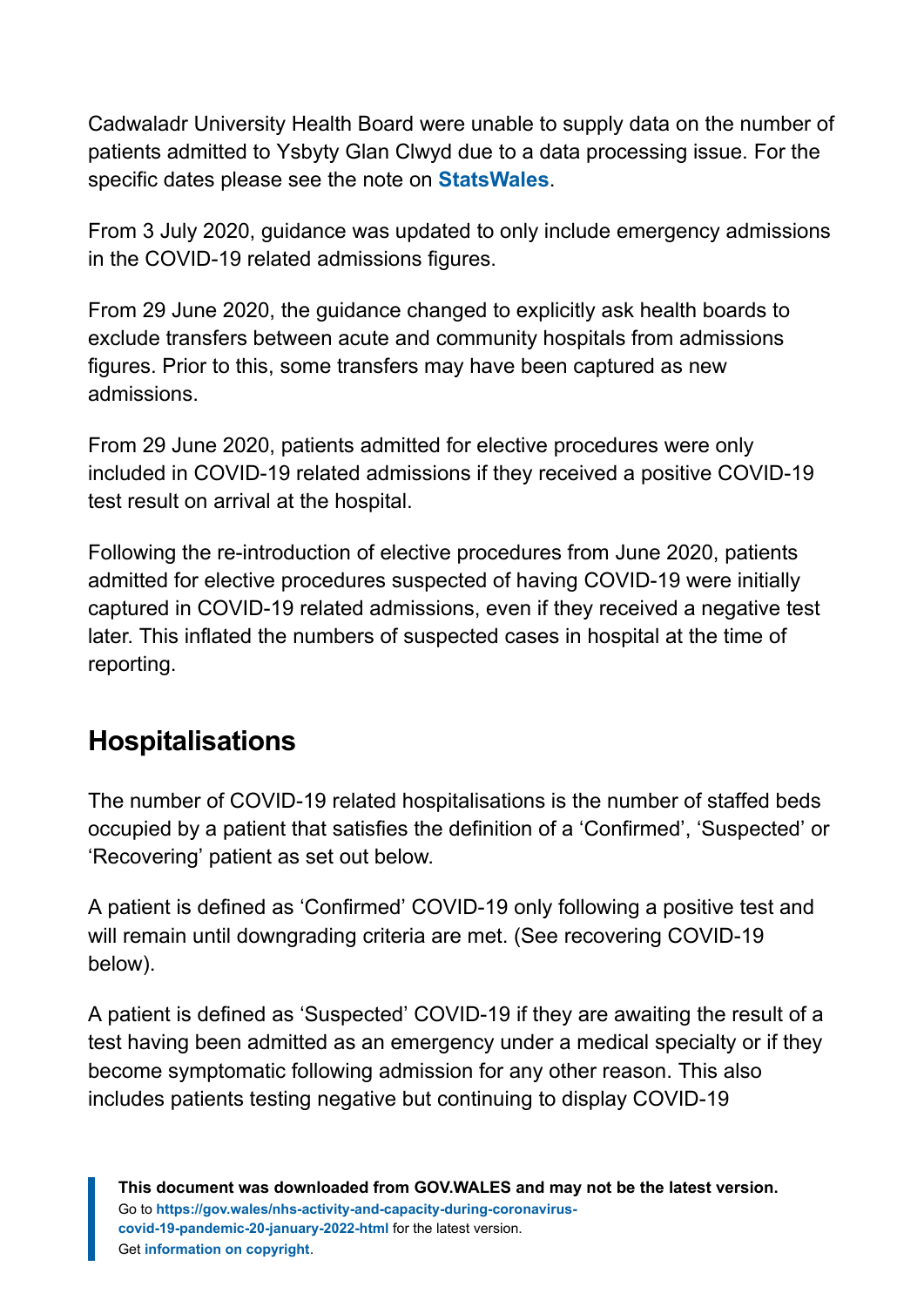Cadwaladr University Health Board were unable to supply data on the number of patients admitted to Ysbyty Glan Clwyd due to a data processing issue. For the specific dates please see the note on **[StatsWales](https://statswales.gov.wales/Catalogue/Health-and-Social-Care/NHS-Hospital-Activity/nhs-activity-and-capacity-during-the-coronavirus-pandemic)**.

From 3 July 2020, guidance was updated to only include emergency admissions in the COVID-19 related admissions figures.

From 29 June 2020, the guidance changed to explicitly ask health boards to exclude transfers between acute and community hospitals from admissions figures. Prior to this, some transfers may have been captured as new admissions.

From 29 June 2020, patients admitted for elective procedures were only included in COVID-19 related admissions if they received a positive COVID-19 test result on arrival at the hospital.

Following the re-introduction of elective procedures from June 2020, patients admitted for elective procedures suspected of having COVID-19 were initially captured in COVID-19 related admissions, even if they received a negative test later. This inflated the numbers of suspected cases in hospital at the time of reporting.

# **Hospitalisations**

The number of COVID-19 related hospitalisations is the number of staffed beds occupied by a patient that satisfies the definition of a 'Confirmed', 'Suspected' or 'Recovering' patient as set out below.

A patient is defined as 'Confirmed' COVID-19 only following a positive test and will remain until downgrading criteria are met. (See recovering COVID-19 below).

A patient is defined as 'Suspected' COVID-19 if they are awaiting the result of a test having been admitted as an emergency under a medical specialty or if they become symptomatic following admission for any other reason. This also includes patients testing negative but continuing to display COVID-19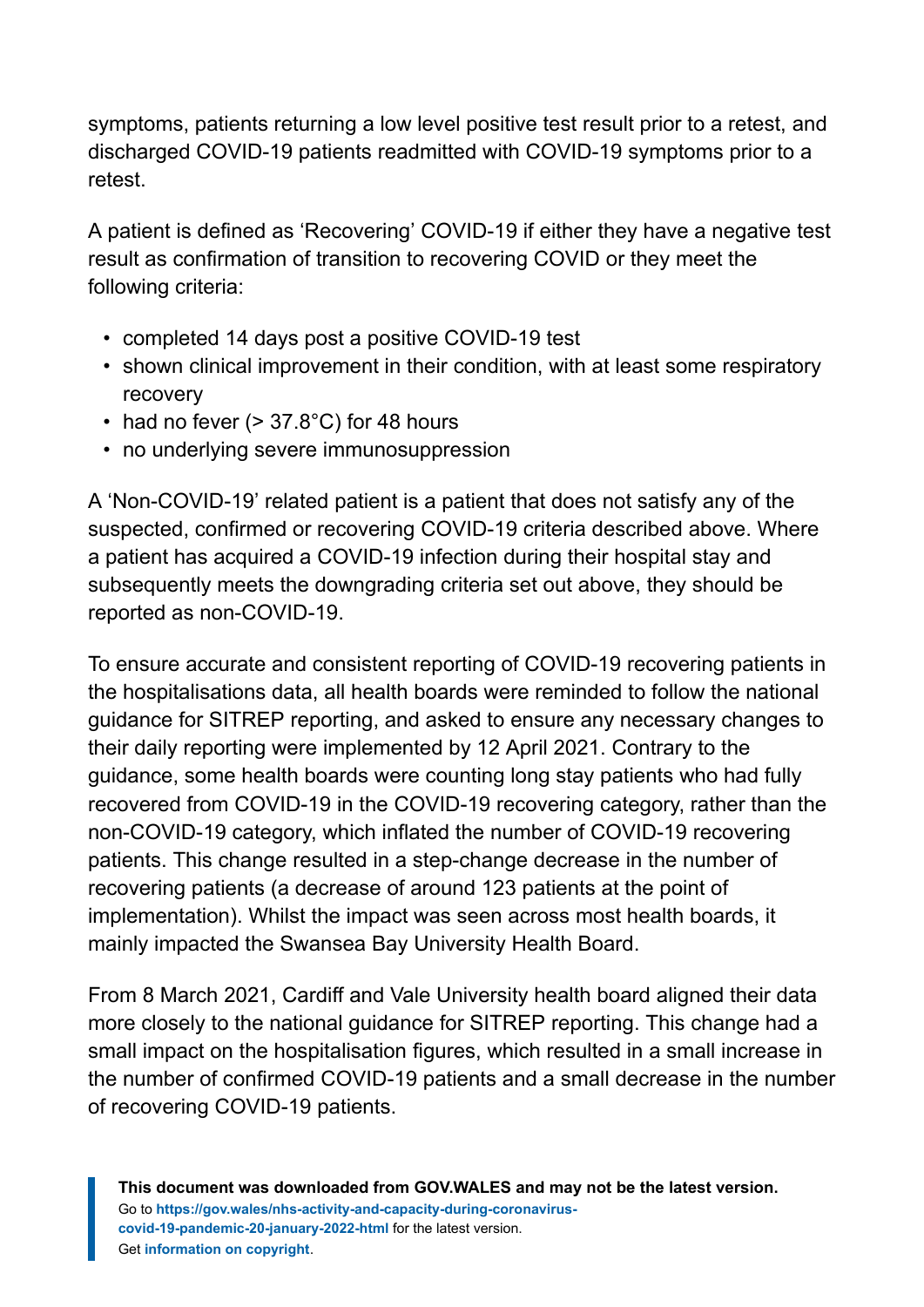symptoms, patients returning a low level positive test result prior to a retest, and discharged COVID-19 patients readmitted with COVID-19 symptoms prior to a retest.

A patient is defined as 'Recovering' COVID-19 if either they have a negative test result as confirmation of transition to recovering COVID or they meet the following criteria:

- completed 14 days post a positive COVID-19 test
- shown clinical improvement in their condition, with at least some respiratory recovery
- had no fever  $(> 37.8^{\circ}C)$  for 48 hours
- no underlying severe immunosuppression

A 'Non-COVID-19' related patient is a patient that does not satisfy any of the suspected, confirmed or recovering COVID-19 criteria described above. Where a patient has acquired a COVID-19 infection during their hospital stay and subsequently meets the downgrading criteria set out above, they should be reported as non-COVID-19.

To ensure accurate and consistent reporting of COVID-19 recovering patients in the hospitalisations data, all health boards were reminded to follow the national guidance for SITREP reporting, and asked to ensure any necessary changes to their daily reporting were implemented by 12 April 2021. Contrary to the guidance, some health boards were counting long stay patients who had fully recovered from COVID-19 in the COVID-19 recovering category, rather than the non-COVID-19 category, which inflated the number of COVID-19 recovering patients. This change resulted in a step-change decrease in the number of recovering patients (a decrease of around 123 patients at the point of implementation). Whilst the impact was seen across most health boards, it mainly impacted the Swansea Bay University Health Board.

From 8 March 2021, Cardiff and Vale University health board aligned their data more closely to the national guidance for SITREP reporting. This change had a small impact on the hospitalisation figures, which resulted in a small increase in the number of confirmed COVID-19 patients and a small decrease in the number of recovering COVID-19 patients.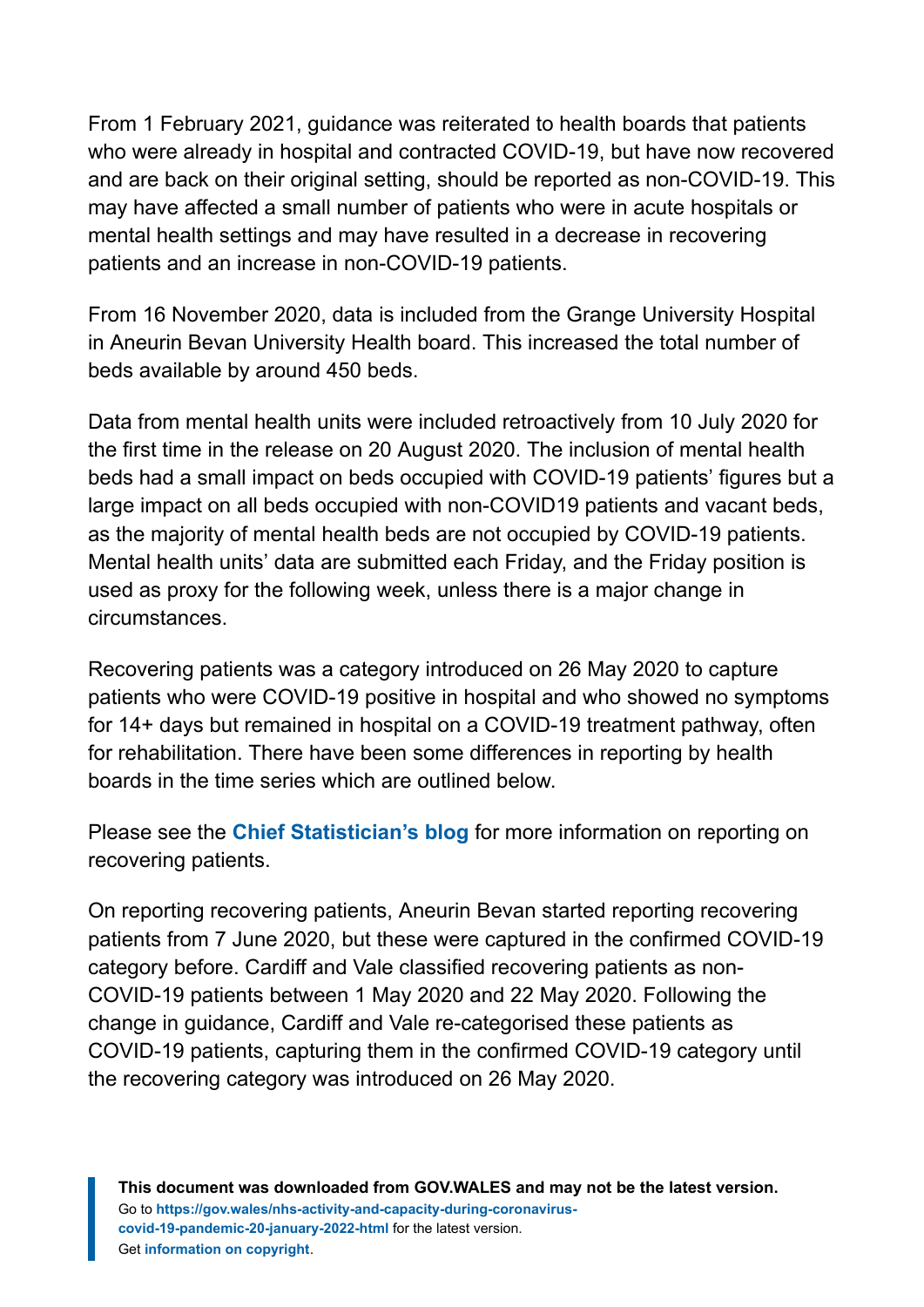From 1 February 2021, guidance was reiterated to health boards that patients who were already in hospital and contracted COVID-19, but have now recovered and are back on their original setting, should be reported as non-COVID-19. This may have affected a small number of patients who were in acute hospitals or mental health settings and may have resulted in a decrease in recovering patients and an increase in non-COVID-19 patients.

From 16 November 2020, data is included from the Grange University Hospital in Aneurin Bevan University Health board. This increased the total number of beds available by around 450 beds.

Data from mental health units were included retroactively from 10 July 2020 for the first time in the release on 20 August 2020. The inclusion of mental health beds had a small impact on beds occupied with COVID-19 patients' figures but a large impact on all beds occupied with non-COVID19 patients and vacant beds, as the majority of mental health beds are not occupied by COVID-19 patients. Mental health units' data are submitted each Friday, and the Friday position is used as proxy for the following week, unless there is a major change in circumstances.

Recovering patients was a category introduced on 26 May 2020 to capture patients who were COVID-19 positive in hospital and who showed no symptoms for 14+ days but remained in hospital on a COVID-19 treatment pathway, often for rehabilitation. There have been some differences in reporting by health boards in the time series which are outlined below.

Please see the **[Chief Statistician's blog](https://digitalanddata.blog.gov.wales/2020/06/04/chief-statisticians-update-measuring-people-in-hospital-and-some-thoughts-on-data-quality/)** for more information on reporting on recovering patients.

On reporting recovering patients, Aneurin Bevan started reporting recovering patients from 7 June 2020, but these were captured in the confirmed COVID-19 category before. Cardiff and Vale classified recovering patients as non-COVID-19 patients between 1 May 2020 and 22 May 2020. Following the change in guidance, Cardiff and Vale re-categorised these patients as COVID-19 patients, capturing them in the confirmed COVID-19 category until the recovering category was introduced on 26 May 2020.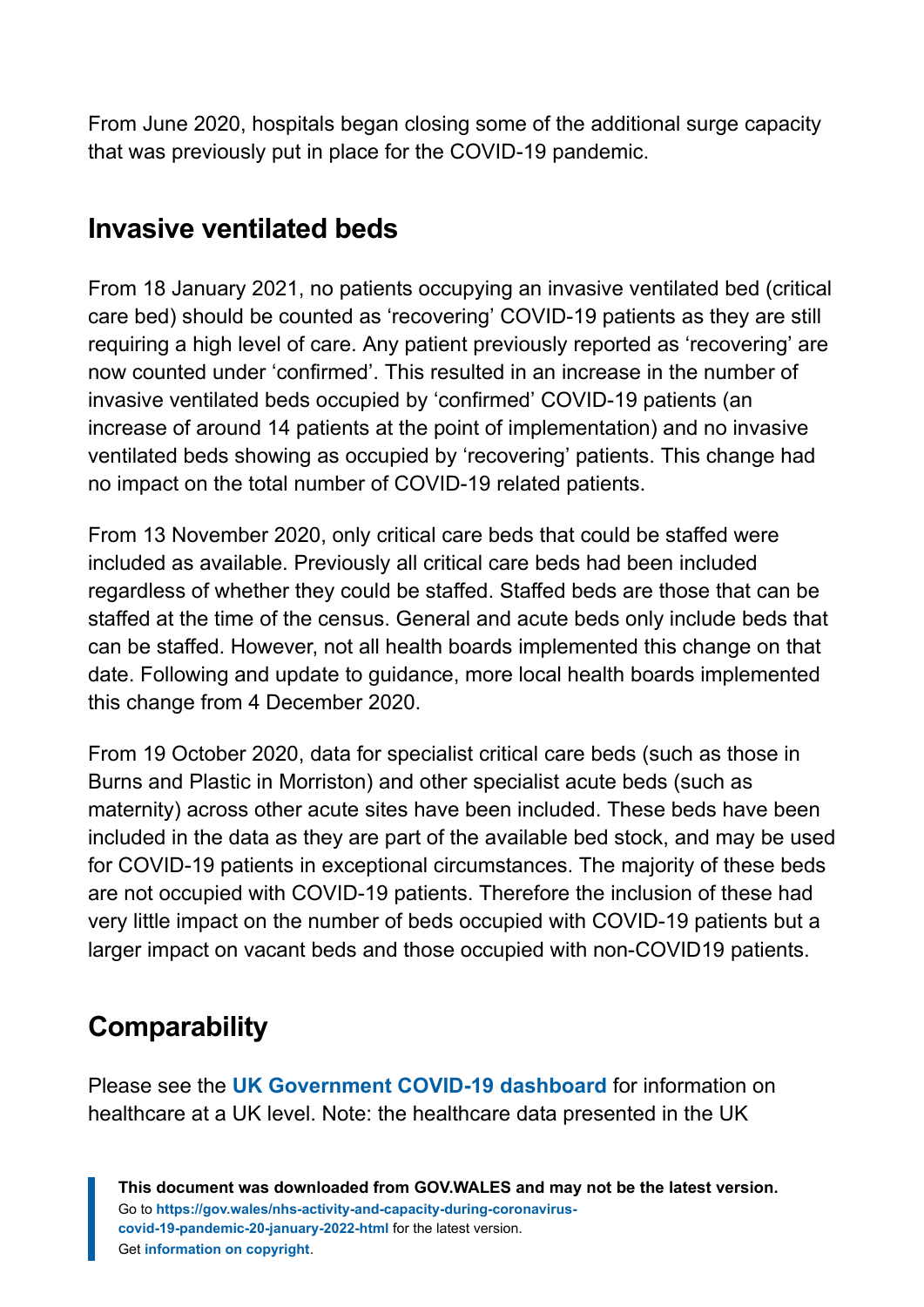From June 2020, hospitals began closing some of the additional surge capacity that was previously put in place for the COVID-19 pandemic.

# **Invasive ventilated beds**

From 18 January 2021, no patients occupying an invasive ventilated bed (critical care bed) should be counted as 'recovering' COVID-19 patients as they are still requiring a high level of care. Any patient previously reported as 'recovering' are now counted under 'confirmed'. This resulted in an increase in the number of invasive ventilated beds occupied by 'confirmed' COVID-19 patients (an increase of around 14 patients at the point of implementation) and no invasive ventilated beds showing as occupied by 'recovering' patients. This change had no impact on the total number of COVID-19 related patients.

From 13 November 2020, only critical care beds that could be staffed were included as available. Previously all critical care beds had been included regardless of whether they could be staffed. Staffed beds are those that can be staffed at the time of the census. General and acute beds only include beds that can be staffed. However, not all health boards implemented this change on that date. Following and update to guidance, more local health boards implemented this change from 4 December 2020.

From 19 October 2020, data for specialist critical care beds (such as those in Burns and Plastic in Morriston) and other specialist acute beds (such as maternity) across other acute sites have been included. These beds have been included in the data as they are part of the available bed stock, and may be used for COVID-19 patients in exceptional circumstances. The majority of these beds are not occupied with COVID-19 patients. Therefore the inclusion of these had very little impact on the number of beds occupied with COVID-19 patients but a larger impact on vacant beds and those occupied with non-COVID19 patients.

# **Comparability**

Please see the **[UK Government COVID-19 dashboard](https://coronavirus.data.gov.uk/)** for information on healthcare at a UK level. Note: the healthcare data presented in the UK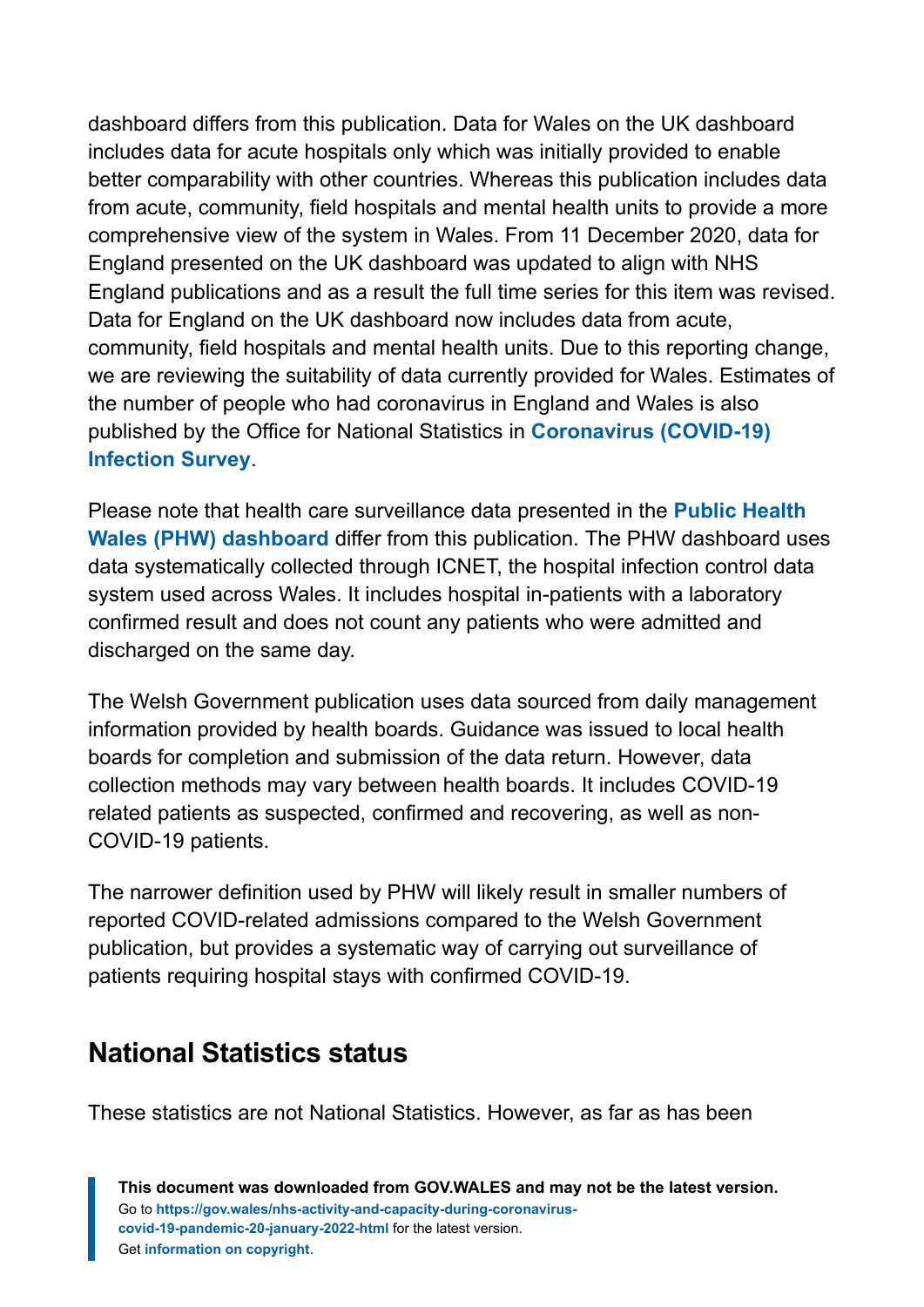dashboard differs from this publication. Data for Wales on the UK dashboard includes data for acute hospitals only which was initially provided to enable better comparability with other countries. Whereas this publication includes data from acute, community, field hospitals and mental health units to provide a more comprehensive view of the system in Wales. From 11 December 2020, data for England presented on the UK dashboard was updated to align with NHS England publications and as a result the full time series for this item was revised. Data for England on the UK dashboard now includes data from acute, community, field hospitals and mental health units. Due to this reporting change, we are reviewing the suitability of data currently provided for Wales. Estimates of the number of people who had coronavirus in England and Wales is also published by the Office for National Statistics in **[Coronavirus \(COVID-19\)](https://www.ons.gov.uk/peoplepopulationandcommunity/healthandsocialcare/conditionsanddiseases/bulletins/coronaviruscovid19infectionsurveypilot/previousReleases) [Infection Survey](https://www.ons.gov.uk/peoplepopulationandcommunity/healthandsocialcare/conditionsanddiseases/bulletins/coronaviruscovid19infectionsurveypilot/previousReleases)**.

Please note that health care surveillance data presented in the **[Public Health](https://public.tableau.com/profile/public.health.wales.health.protection#!/vizhome/RapidCOVID-19virology-Public/Headlinesummary) [Wales \(PHW\) dashboard](https://public.tableau.com/profile/public.health.wales.health.protection#!/vizhome/RapidCOVID-19virology-Public/Headlinesummary)** differ from this publication. The PHW dashboard uses data systematically collected through ICNET, the hospital infection control data system used across Wales. It includes hospital in-patients with a laboratory confirmed result and does not count any patients who were admitted and discharged on the same day.

The Welsh Government publication uses data sourced from daily management information provided by health boards. Guidance was issued to local health boards for completion and submission of the data return. However, data collection methods may vary between health boards. It includes COVID-19 related patients as suspected, confirmed and recovering, as well as non-COVID-19 patients.

The narrower definition used by PHW will likely result in smaller numbers of reported COVID-related admissions compared to the Welsh Government publication, but provides a systematic way of carrying out surveillance of patients requiring hospital stays with confirmed COVID-19.

# **National Statistics status**

These statistics are not National Statistics. However, as far as has been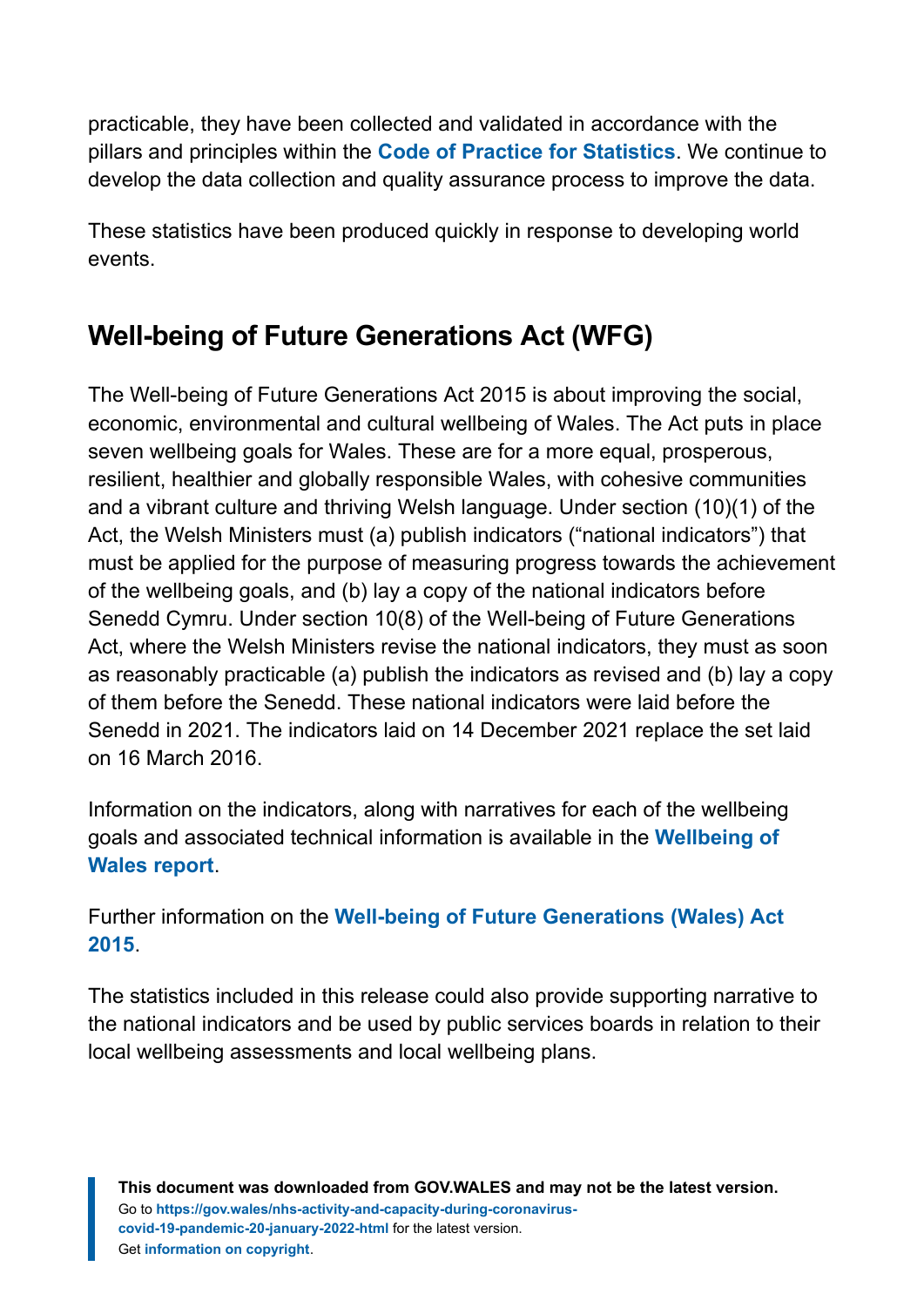practicable, they have been collected and validated in accordance with the pillars and principles within the **[Code of Practice for Statistics](https://code.statisticsauthority.gov.uk/)**. We continue to develop the data collection and quality assurance process to improve the data.

These statistics have been produced quickly in response to developing world events.

# **Well-being of Future Generations Act (WFG)**

The Well-being of Future Generations Act 2015 is about improving the social, economic, environmental and cultural wellbeing of Wales. The Act puts in place seven wellbeing goals for Wales. These are for a more equal, prosperous, resilient, healthier and globally responsible Wales, with cohesive communities and a vibrant culture and thriving Welsh language. Under section (10)(1) of the Act, the Welsh Ministers must (a) publish indicators ("national indicators") that must be applied for the purpose of measuring progress towards the achievement of the wellbeing goals, and (b) lay a copy of the national indicators before Senedd Cymru. Under section 10(8) of the Well-being of Future Generations Act, where the Welsh Ministers revise the national indicators, they must as soon as reasonably practicable (a) publish the indicators as revised and (b) lay a copy of them before the Senedd. These national indicators were laid before the Senedd in 2021. The indicators laid on 14 December 2021 replace the set laid on 16 March 2016.

Information on the indicators, along with narratives for each of the wellbeing goals and associated technical information is available in the **[Wellbeing of](https://gov.wales/wellbeing-wales) [Wales report](https://gov.wales/wellbeing-wales)**.

Further information on the **[Well-being of Future Generations \(Wales\) Act](https://gov.wales/well-being-future-generations-wales-act-2015-guidance) [2015](https://gov.wales/well-being-future-generations-wales-act-2015-guidance)**.

The statistics included in this release could also provide supporting narrative to the national indicators and be used by public services boards in relation to their local wellbeing assessments and local wellbeing plans.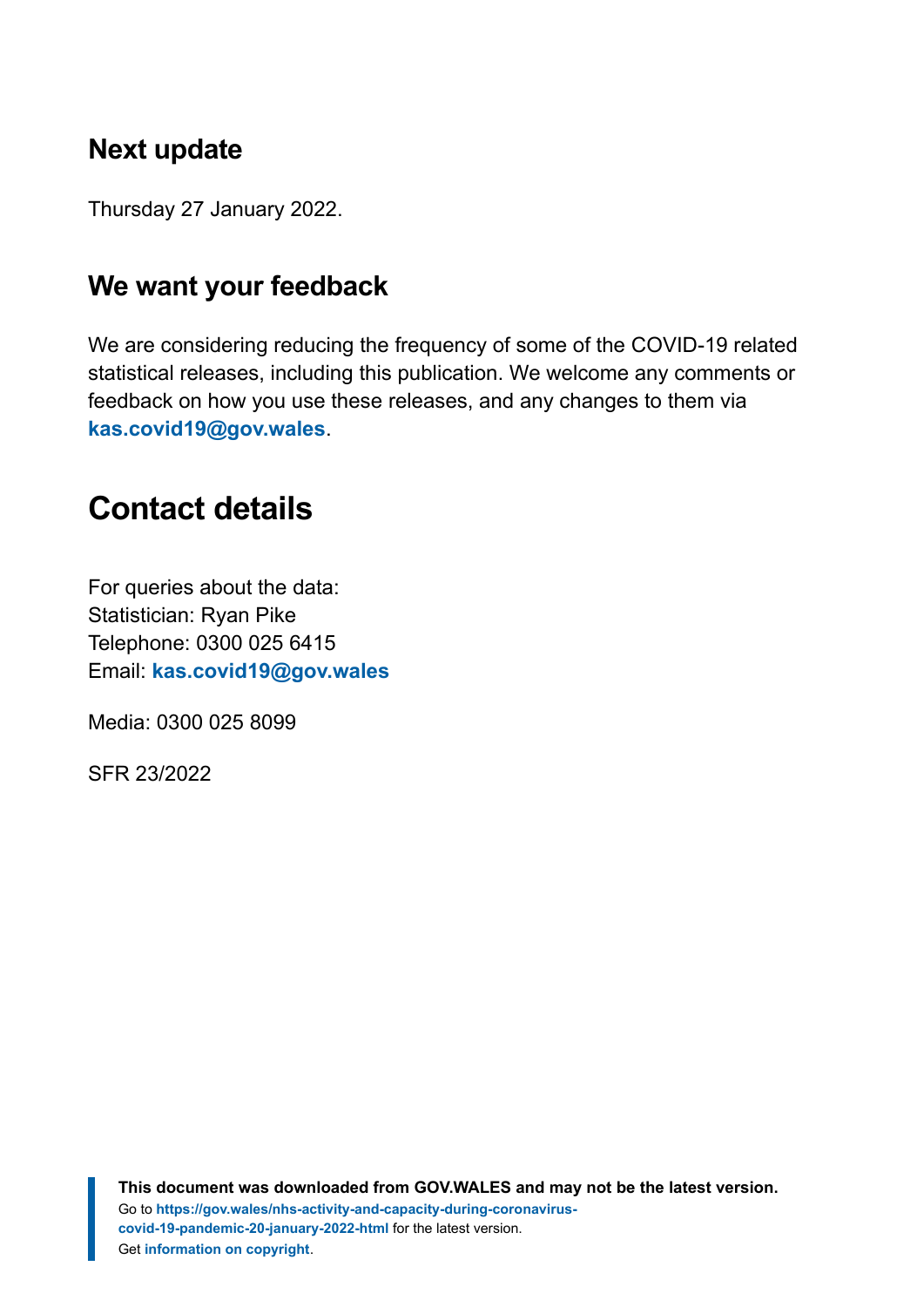# **Next update**

Thursday 27 January 2022.

# **We want your feedback**

We are considering reducing the frequency of some of the COVID-19 related statistical releases, including this publication. We welcome any comments or feedback on how you use these releases, and any changes to them via **[kas.covid19@gov.wales](mailto:kas.covid19@gov.wales)**.

# <span id="page-18-0"></span>**Contact details**

For queries about the data: Statistician: Ryan Pike Telephone: 0300 025 6415 Email: **[kas.covid19@gov.wales](mailto:kas.covid19@gov.wales)**

Media: 0300 025 8099

SFR 23/2022